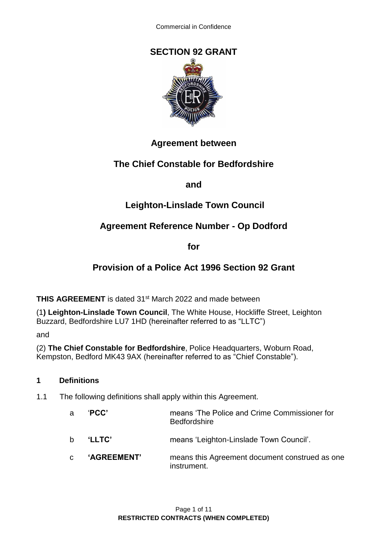

## **Agreement between**

## **The Chief Constable for Bedfordshire**

**and**

## **Leighton-Linslade Town Council**

## **Agreement Reference Number - Op Dodford**

**for**

# **Provision of a Police Act 1996 Section 92 Grant**

**THIS AGREEMENT** is dated 31<sup>st</sup> March 2022 and made between

(1**) Leighton-Linslade Town Council**, The White House, Hockliffe Street, Leighton Buzzard, Bedfordshire LU7 1HD (hereinafter referred to as "LLTC")

and

(2) **The Chief Constable for Bedfordshire**, Police Headquarters, Woburn Road, Kempston, Bedford MK43 9AX (hereinafter referred to as "Chief Constable").

## **1 Definitions**

## 1.1 The following definitions shall apply within this Agreement.

| a  | 'PCC'             | means 'The Police and Crime Commissioner for<br><b>Bedfordshire</b> |
|----|-------------------|---------------------------------------------------------------------|
| b. | <b>'LLTC'</b>     | means 'Leighton-Linslade Town Council'.                             |
| C. | <b>AGREEMENT'</b> | means this Agreement document construed as one<br>instrument.       |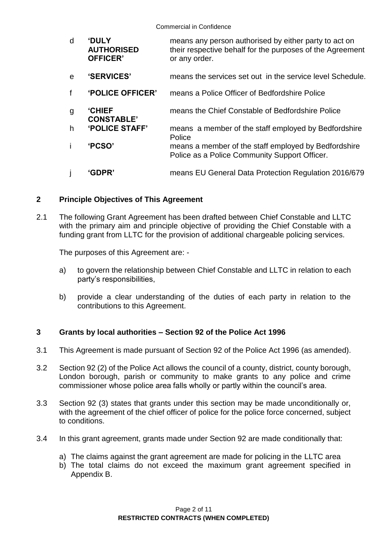| d            | <b>DULY</b><br><b>AUTHORISED</b><br><b>OFFICER'</b> | means any person authorised by either party to act on<br>their respective behalf for the purposes of the Agreement<br>or any order. |
|--------------|-----------------------------------------------------|-------------------------------------------------------------------------------------------------------------------------------------|
| e            | 'SERVICES'                                          | means the services set out in the service level Schedule.                                                                           |
| $\mathbf{f}$ | <b>'POLICE OFFICER'</b>                             | means a Police Officer of Bedfordshire Police                                                                                       |
| g            | <b>CHIEF</b><br><b>CONSTABLE'</b>                   | means the Chief Constable of Bedfordshire Police                                                                                    |
| h            | <b>'POLICE STAFF'</b>                               | means a member of the staff employed by Bedfordshire<br>Police                                                                      |
| j.           | <b>'PCSO'</b>                                       | means a member of the staff employed by Bedfordshire<br>Police as a Police Community Support Officer.                               |
|              | <b>'GDPR'</b>                                       | means EU General Data Protection Regulation 2016/679                                                                                |

## **2 Principle Objectives of This Agreement**

2.1 The following Grant Agreement has been drafted between Chief Constable and LLTC with the primary aim and principle objective of providing the Chief Constable with a funding grant from LLTC for the provision of additional chargeable policing services.

The purposes of this Agreement are: -

- a) to govern the relationship between Chief Constable and LLTC in relation to each party's responsibilities,
- b) provide a clear understanding of the duties of each party in relation to the contributions to this Agreement.

## **3 Grants by local authorities – Section 92 of the Police Act 1996**

- 3.1 This Agreement is made pursuant of Section 92 of the Police Act 1996 (as amended).
- 3.2 Section 92 (2) of the Police Act allows the council of a county, district, county borough, London borough, parish or community to make grants to any police and crime commissioner whose police area falls wholly or partly within the council's area.
- 3.3 Section 92 (3) states that grants under this section may be made unconditionally or, with the agreement of the chief officer of police for the police force concerned, subject to conditions.
- 3.4 In this grant agreement, grants made under Section 92 are made conditionally that:
	- a) The claims against the grant agreement are made for policing in the LLTC area
	- b) The total claims do not exceed the maximum grant agreement specified in Appendix B.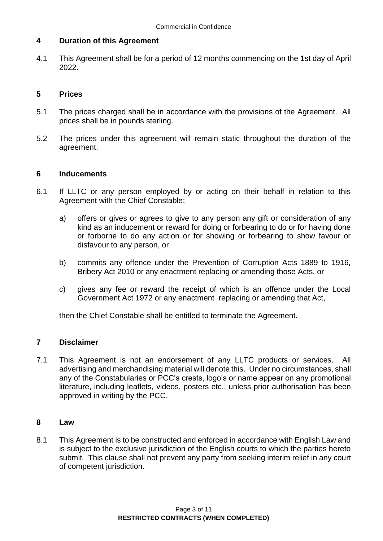## **4 Duration of this Agreement**

4.1 This Agreement shall be for a period of 12 months commencing on the 1st day of April 2022.

## **5 Prices**

- 5.1 The prices charged shall be in accordance with the provisions of the Agreement. All prices shall be in pounds sterling.
- 5.2 The prices under this agreement will remain static throughout the duration of the agreement.

## **6 Inducements**

- 6.1 If LLTC or any person employed by or acting on their behalf in relation to this Agreement with the Chief Constable;
	- a) offers or gives or agrees to give to any person any gift or consideration of any kind as an inducement or reward for doing or forbearing to do or for having done or forborne to do any action or for showing or forbearing to show favour or disfavour to any person, or
	- b) commits any offence under the Prevention of Corruption Acts 1889 to 1916, Bribery Act 2010 or any enactment replacing or amending those Acts, or
	- c) gives any fee or reward the receipt of which is an offence under the Local Government Act 1972 or any enactment replacing or amending that Act,

then the Chief Constable shall be entitled to terminate the Agreement.

## **7 Disclaimer**

7.1 This Agreement is not an endorsement of any LLTC products or services. All advertising and merchandising material will denote this. Under no circumstances, shall any of the Constabularies or PCC's crests, logo's or name appear on any promotional literature, including leaflets, videos, posters etc., unless prior authorisation has been approved in writing by the PCC.

#### **8 Law**

8.1 This Agreement is to be constructed and enforced in accordance with English Law and is subject to the exclusive jurisdiction of the English courts to which the parties hereto submit. This clause shall not prevent any party from seeking interim relief in any court of competent jurisdiction.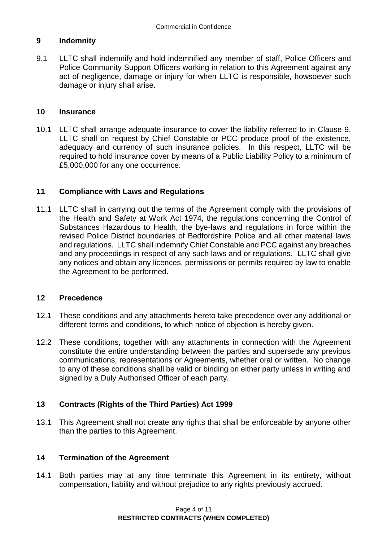## **9 Indemnity**

9.1 LLTC shall indemnify and hold indemnified any member of staff, Police Officers and Police Community Support Officers working in relation to this Agreement against any act of negligence, damage or injury for when LLTC is responsible, howsoever such damage or injury shall arise.

#### **10 Insurance**

10.1 LLTC shall arrange adequate insurance to cover the liability referred to in Clause 9. LLTC shall on request by Chief Constable or PCC produce proof of the existence, adequacy and currency of such insurance policies. In this respect, LLTC will be required to hold insurance cover by means of a Public Liability Policy to a minimum of £5,000,000 for any one occurrence.

## **11 Compliance with Laws and Regulations**

11.1 LLTC shall in carrying out the terms of the Agreement comply with the provisions of the Health and Safety at Work Act 1974, the regulations concerning the Control of Substances Hazardous to Health, the bye-laws and regulations in force within the revised Police District boundaries of Bedfordshire Police and all other material laws and regulations. LLTC shall indemnify Chief Constable and PCC against any breaches and any proceedings in respect of any such laws and or regulations. LLTC shall give any notices and obtain any licences, permissions or permits required by law to enable the Agreement to be performed.

## **12 Precedence**

- 12.1 These conditions and any attachments hereto take precedence over any additional or different terms and conditions, to which notice of objection is hereby given.
- 12.2 These conditions, together with any attachments in connection with the Agreement constitute the entire understanding between the parties and supersede any previous communications, representations or Agreements, whether oral or written. No change to any of these conditions shall be valid or binding on either party unless in writing and signed by a Duly Authorised Officer of each party.

## **13 Contracts (Rights of the Third Parties) Act 1999**

13.1 This Agreement shall not create any rights that shall be enforceable by anyone other than the parties to this Agreement.

## **14 Termination of the Agreement**

14.1 Both parties may at any time terminate this Agreement in its entirety, without compensation, liability and without prejudice to any rights previously accrued.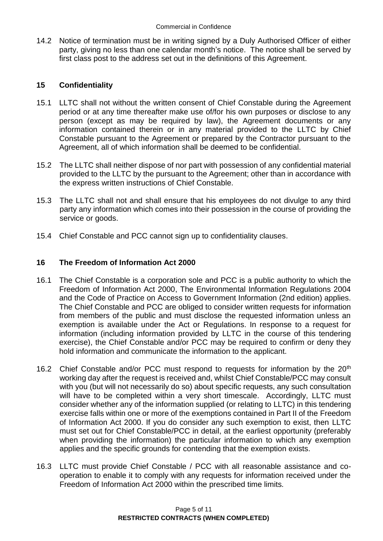14.2 Notice of termination must be in writing signed by a Duly Authorised Officer of either party, giving no less than one calendar month's notice. The notice shall be served by first class post to the address set out in the definitions of this Agreement.

## **15 Confidentiality**

- 15.1 LLTC shall not without the written consent of Chief Constable during the Agreement period or at any time thereafter make use of/for his own purposes or disclose to any person (except as may be required by law), the Agreement documents or any information contained therein or in any material provided to the LLTC by Chief Constable pursuant to the Agreement or prepared by the Contractor pursuant to the Agreement, all of which information shall be deemed to be confidential.
- 15.2 The LLTC shall neither dispose of nor part with possession of any confidential material provided to the LLTC by the pursuant to the Agreement; other than in accordance with the express written instructions of Chief Constable.
- 15.3 The LLTC shall not and shall ensure that his employees do not divulge to any third party any information which comes into their possession in the course of providing the service or goods.
- 15.4 Chief Constable and PCC cannot sign up to confidentiality clauses.

## **16 The Freedom of Information Act 2000**

- 16.1 The Chief Constable is a corporation sole and PCC is a public authority to which the Freedom of Information Act 2000, The Environmental Information Regulations 2004 and the Code of Practice on Access to Government Information (2nd edition) applies. The Chief Constable and PCC are obliged to consider written requests for information from members of the public and must disclose the requested information unless an exemption is available under the Act or Regulations. In response to a request for information (including information provided by LLTC in the course of this tendering exercise), the Chief Constable and/or PCC may be required to confirm or deny they hold information and communicate the information to the applicant.
- 16.2 Chief Constable and/or PCC must respond to requests for information by the 20<sup>th</sup> working day after the request is received and, whilst Chief Constable/PCC may consult with you (but will not necessarily do so) about specific requests, any such consultation will have to be completed within a very short timescale. Accordingly, LLTC must consider whether any of the information supplied (or relating to LLTC) in this tendering exercise falls within one or more of the exemptions contained in Part II of the Freedom of Information Act 2000. If you do consider any such exemption to exist, then LLTC must set out for Chief Constable/PCC in detail, at the earliest opportunity (preferably when providing the information) the particular information to which any exemption applies and the specific grounds for contending that the exemption exists.
- 16.3 LLTC must provide Chief Constable / PCC with all reasonable assistance and cooperation to enable it to comply with any requests for information received under the Freedom of Information Act 2000 within the prescribed time limits.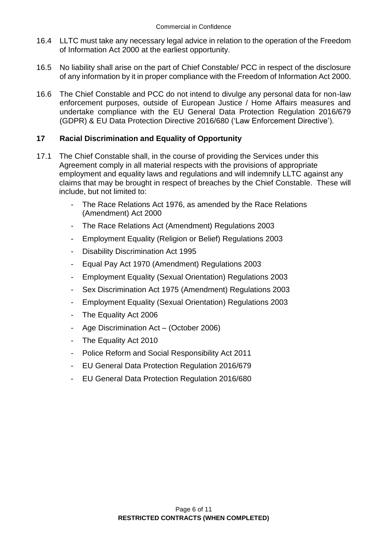- 16.4 LLTC must take any necessary legal advice in relation to the operation of the Freedom of Information Act 2000 at the earliest opportunity.
- 16.5 No liability shall arise on the part of Chief Constable/ PCC in respect of the disclosure of any information by it in proper compliance with the Freedom of Information Act 2000.
- 16.6 The Chief Constable and PCC do not intend to divulge any personal data for non-law enforcement purposes, outside of European Justice / Home Affairs measures and undertake compliance with the EU General Data Protection Regulation 2016/679 (GDPR) & EU Data Protection Directive 2016/680 ('Law Enforcement Directive').

## **17 Racial Discrimination and Equality of Opportunity**

- 17.1 The Chief Constable shall, in the course of providing the Services under this Agreement comply in all material respects with the provisions of appropriate employment and equality laws and regulations and will indemnify LLTC against any claims that may be brought in respect of breaches by the Chief Constable. These will include, but not limited to:
	- The Race Relations Act 1976, as amended by the Race Relations (Amendment) Act 2000
	- The Race Relations Act (Amendment) Regulations 2003
	- Employment Equality (Religion or Belief) Regulations 2003
	- Disability Discrimination Act 1995
	- Equal Pay Act 1970 (Amendment) Regulations 2003
	- Employment Equality (Sexual Orientation) Regulations 2003
	- Sex Discrimination Act 1975 (Amendment) Regulations 2003
	- Employment Equality (Sexual Orientation) Regulations 2003
	- The Equality Act 2006
	- Age Discrimination Act (October 2006)
	- The Equality Act 2010
	- Police Reform and Social Responsibility Act 2011
	- EU General Data Protection Regulation 2016/679
	- EU General Data Protection Regulation 2016/680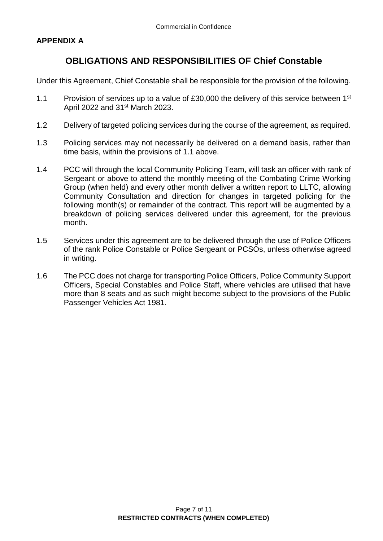## **APPENDIX A**

## **OBLIGATIONS AND RESPONSIBILITIES OF Chief Constable**

Under this Agreement, Chief Constable shall be responsible for the provision of the following.

- 1.1 Provision of services up to a value of £30,000 the delivery of this service between 1<sup>st</sup> April 2022 and 31st March 2023.
- 1.2 Delivery of targeted policing services during the course of the agreement, as required.
- 1.3 Policing services may not necessarily be delivered on a demand basis, rather than time basis, within the provisions of 1.1 above.
- 1.4 PCC will through the local Community Policing Team, will task an officer with rank of Sergeant or above to attend the monthly meeting of the Combating Crime Working Group (when held) and every other month deliver a written report to LLTC, allowing Community Consultation and direction for changes in targeted policing for the following month(s) or remainder of the contract. This report will be augmented by a breakdown of policing services delivered under this agreement, for the previous month.
- 1.5 Services under this agreement are to be delivered through the use of Police Officers of the rank Police Constable or Police Sergeant or PCSOs, unless otherwise agreed in writing.
- 1.6 The PCC does not charge for transporting Police Officers, Police Community Support Officers, Special Constables and Police Staff, where vehicles are utilised that have more than 8 seats and as such might become subject to the provisions of the Public Passenger Vehicles Act 1981.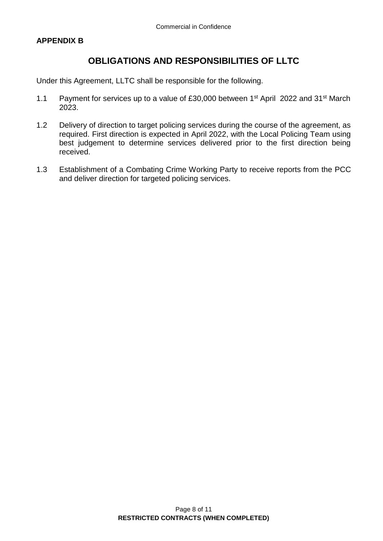## **APPENDIX B**

## **OBLIGATIONS AND RESPONSIBILITIES OF LLTC**

Under this Agreement, LLTC shall be responsible for the following.

- 1.1 Payment for services up to a value of £30,000 between 1<sup>st</sup> April 2022 and 31<sup>st</sup> March 2023.
- 1.2 Delivery of direction to target policing services during the course of the agreement, as required. First direction is expected in April 2022, with the Local Policing Team using best judgement to determine services delivered prior to the first direction being received.
- 1.3 Establishment of a Combating Crime Working Party to receive reports from the PCC and deliver direction for targeted policing services.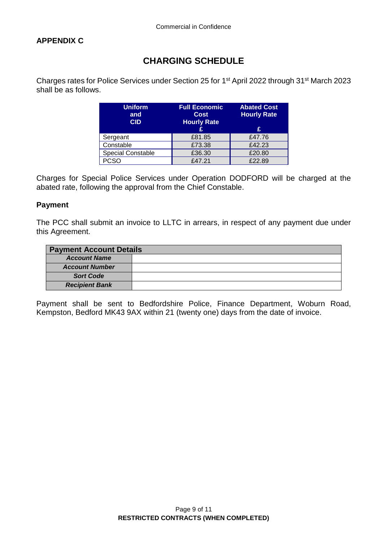## **APPENDIX C**

# **CHARGING SCHEDULE**

Charges rates for Police Services under Section 25 for 1<sup>st</sup> April 2022 through 31<sup>st</sup> March 2023 shall be as follows.

| <b>Uniform</b><br>and<br><b>CID</b> | <b>Full Economic</b><br><b>Cost</b><br><b>Hourly Rate</b><br>£ | <b>Abated Cost</b><br><b>Hourly Rate</b><br>£ |
|-------------------------------------|----------------------------------------------------------------|-----------------------------------------------|
| Sergeant                            | £81.85                                                         | £47.76                                        |
| Constable                           | £73.38                                                         | £42.23                                        |
| <b>Special Constable</b>            | £36.30                                                         | £20.80                                        |
| PCSO                                | £47.21                                                         | £22.89                                        |

Charges for Special Police Services under Operation DODFORD will be charged at the abated rate, following the approval from the Chief Constable.

#### **Payment**

The PCC shall submit an invoice to LLTC in arrears, in respect of any payment due under this Agreement.

| <b>Payment Account Details</b> |  |  |
|--------------------------------|--|--|
| <b>Account Name</b>            |  |  |
| <b>Account Number</b>          |  |  |
| <b>Sort Code</b>               |  |  |
| <b>Recipient Bank</b>          |  |  |

Payment shall be sent to Bedfordshire Police, Finance Department, Woburn Road, Kempston, Bedford MK43 9AX within 21 (twenty one) days from the date of invoice.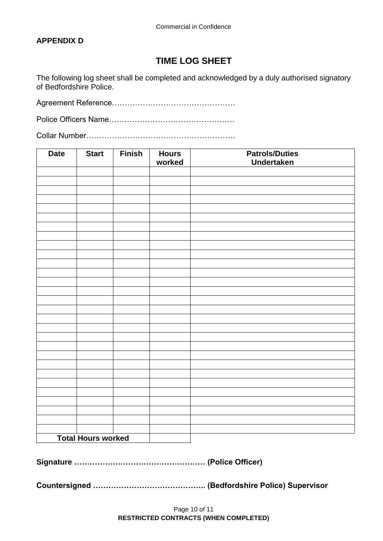## **APPENDIX D**

# **TIME LOG SHEET**

The following log sheet shall be completed and acknowledged by a duly authorised signatory of Bedfordshire Police.

Agreement Reference…………………………………………

Police Officers Name………………………………………….

Collar Number………………………………………………….

| <b>Date</b> | <b>Start</b>              | <b>Finish</b> | <b>Hours</b><br>worked | <b>Patrols/Duties</b><br><b>Undertaken</b> |
|-------------|---------------------------|---------------|------------------------|--------------------------------------------|
|             |                           |               |                        |                                            |
|             |                           |               |                        |                                            |
|             |                           |               |                        |                                            |
|             |                           |               |                        |                                            |
|             |                           |               |                        |                                            |
|             |                           |               |                        |                                            |
|             |                           |               |                        |                                            |
|             |                           |               |                        |                                            |
|             |                           |               |                        |                                            |
|             |                           |               |                        |                                            |
|             |                           |               |                        |                                            |
|             |                           |               |                        |                                            |
|             |                           |               |                        |                                            |
|             |                           |               |                        |                                            |
|             |                           |               |                        |                                            |
|             |                           |               |                        |                                            |
|             |                           |               |                        |                                            |
|             |                           |               |                        |                                            |
|             |                           |               |                        |                                            |
|             |                           |               |                        |                                            |
|             |                           |               |                        |                                            |
|             |                           |               |                        |                                            |
|             |                           |               |                        |                                            |
|             |                           |               |                        |                                            |
|             |                           |               |                        |                                            |
|             |                           |               |                        |                                            |
|             |                           |               |                        |                                            |
|             | <b>Total Hours worked</b> |               |                        |                                            |

**Signature …………………………………………… (Police Officer)**

**Countersigned …………………………………….. (Bedfordshire Police) Supervisor**